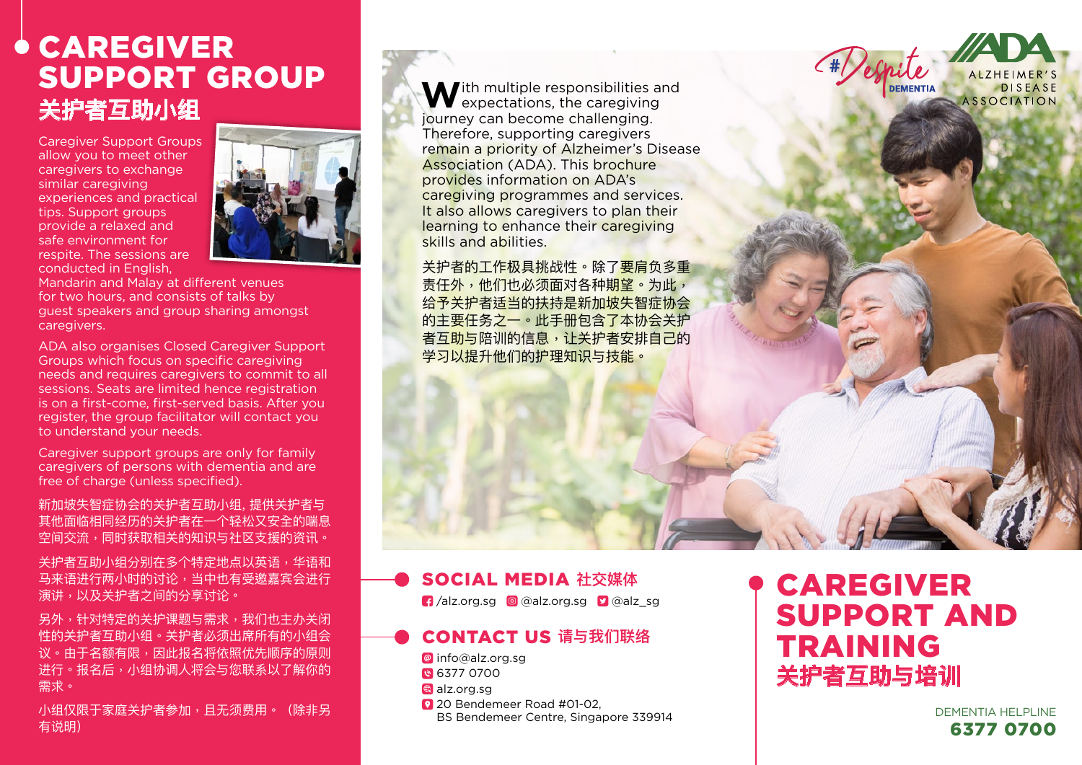# CAREGIVER SUPPORT GROUP **关护者互助小组**

Caregiver Support Groups allow you to meet other caregivers to exchange similar caregiving experiences and practical tips. Support groups provide a relaxed and safe environment for respite. The sessions are conducted in English,



Mandarin and Malay at different venues for two hours, and consists of talks by guest speakers and group sharing amongst caregivers.

ADA also organises Closed Caregiver Support Groups which focus on specific caregiving needs and requires caregivers to commit to all sessions. Seats are limited hence registration is on a first-come, first-served basis. After you register, the group facilitator will contact you to understand your needs.

Caregiver support groups are only for family caregivers of persons with dementia and are free of charge (unless specified).

新加坡失智症协会的关护者互助小组, 提供关护者与 其他面临相同经历的关护者在一个轻松又安全的喘息 空间交流,同时获取相关的知识与社区支援的资讯。

关护者互助小组分别在多个特定地点以英语,华语和 马来语进行两小时的讨论,当中也有受邀嘉宾会进行 演讲,以及关护者之间的分享讨论。

另外,针对特定的关护课题与需求,我们也主办关闭 性的关护者互助小组。关护者必须出席所有的小组会 议。由于名额有限,因此报名将依照优先顺序的原则 进行。报名后,小组协调人将会与您联系以了解你的 需求。

小组仅限于家庭关护者参加,且无须费用。(除非另 有说明)

**M**ith multiple responsibilities and  $\blacktriangledown$  expectations, the caregiving journey can become challenging. Therefore, supporting caregivers remain a priority of Alzheimer's Disease Association (ADA). This brochure provides information on ADA's caregiving programmes and services. It also allows caregivers to plan their learning to enhance their caregiving skills and abilities.

关护者的工作极具挑战性。除了要肩负多重 责任外,他们也必须面对各种期望。为此, 给予关护者适当的扶持是新加坡失智症协会 的主要任务之一。此手册包含了本协会关护 者互助与陪训的信息,让关护者安排自己的 学习以提升他们的护理知识与技能。

## SOCIAL MEDIA **社交媒体**

 $\left| \cdot \right|$  /alz.org.sg  $\left| \circ \right|$  @alz.org.sg  $\left| \cdot \right|$  @alz\_sg

### CONTACT US **请与我们联络**

@ info@alz.org.sg

- 8 6377 0700
- **alz.org.sg**
- <sup>2</sup> 20 Bendemeer Road #01-02, BS Bendemeer Centre, Singapore 339914

# CAREGIVER SUPPORT AND TRAINING **关护者互助与培训**

**DEMENTIA** 

**DISEASE ASSOCIATION** 

DEMENTIA HELPLINE 6377 0700